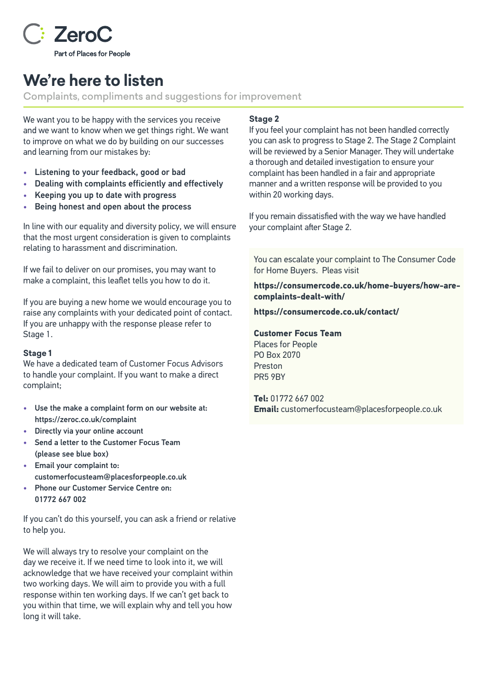

# **We're here to listen**

Complaints, compliments and suggestions for improvement

We want you to be happy with the services you receive and we want to know when we get things right. We want to improve on what we do by building on our successes and learning from our mistakes by:

- Listening to your feedback, good or bad
- Dealing with complaints efficiently and effectively
- Keeping you up to date with progress
- Being honest and open about the process

In line with our equality and diversity policy, we will ensure that the most urgent consideration is given to complaints relating to harassment and discrimination.

If we fail to deliver on our promises, you may want to make a complaint, this leaflet tells you how to do it.

If you are buying a new home we would encourage you to raise any complaints with your dedicated point of contact. If you are unhappy with the response please refer to Stage 1.

### **Stage 1**

We have a dedicated team of Customer Focus Advisors to handle your complaint. If you want to make a direct complaint;

- Use the make a complaint form on our website at: <https://zeroc.co.uk/complaint>
- Directly via your online account
- Send a letter to the Customer Focus Team (please see blue box)
- Email your complaint to: customerfocusteam@placesforpeople.co.uk
- Phone our Customer Service Centre on: 01772 667 002

If you can't do this yourself, you can ask a friend or relative to help you.

We will always try to resolve your complaint on the day we receive it. If we need time to look into it, we will acknowledge that we have received your complaint within two working days. We will aim to provide you with a full response within ten working days. If we can't get back to you within that time, we will explain why and tell you how long it will take.

### **Stage 2**

If you feel your complaint has not been handled correctly you can ask to progress to Stage 2. The Stage 2 Complaint will be reviewed by a Senior Manager. They will undertake a thorough and detailed investigation to ensure your complaint has been handled in a fair and appropriate manner and a written response will be provided to you within 20 working days.

If you remain dissatisfied with the way we have handled your complaint after Stage 2.

You can escalate your complaint to The Consumer Code for Home Buyers. Pleas visit

**https://consumercode.co.uk/home-buyers/how-arecomplaints-dealt-with/**

**https://consumercode.co.uk/contact/**

#### **Customer Focus Team**

Places for People PO Box 2070 Preston PR5 9BY

**Tel:** 01772 667 002 **Email:** customerfocusteam@placesforpeople.co.uk